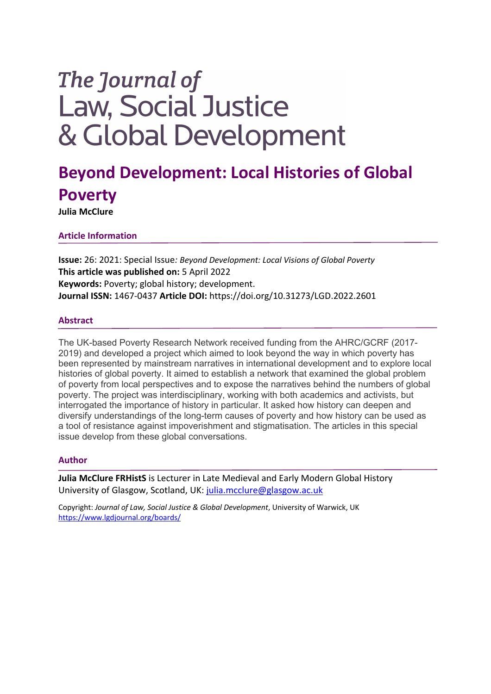# The Journal of **Law, Social Justice** & Global Development

# **Beyond Development: Local Histories of Global Poverty**

**Julia McClure**

## **Article Information**

**Issue:** 26: 2021: Special Issue*: Beyond Development: Local Visions of Global Poverty* **This article was published on:** 5 April 2022 **Keywords:** Poverty; global history; development. **Journal ISSN:** 1467-0437 **Article DOI:** https://doi.org/10.31273/LGD.2022.2601

### **Abstract**

The UK-based Poverty Research Network received funding from the AHRC/GCRF (2017- 2019) and developed a project which aimed to look beyond the way in which poverty has been represented by mainstream narratives in international development and to explore local histories of global poverty. It aimed to establish a network that examined the global problem of poverty from local perspectives and to expose the narratives behind the numbers of global poverty. The project was interdisciplinary, working with both academics and activists, but interrogated the importance of history in particular. It asked how history can deepen and diversify understandings of the long-term causes of poverty and how history can be used as a tool of resistance against impoverishment and stigmatisation. The articles in this special issue develop from these global conversations.

#### **Author**

**Julia McClure FRHistS** is Lecturer in Late Medieval and Early Modern Global History University of Glasgow, Scotland, UK: julia.mcclure@glasgow.ac.uk

Copyright: *Journal of Law, Social Justice & Global Development*, University of Warwick, UK https://www.lgdjournal.org/boards/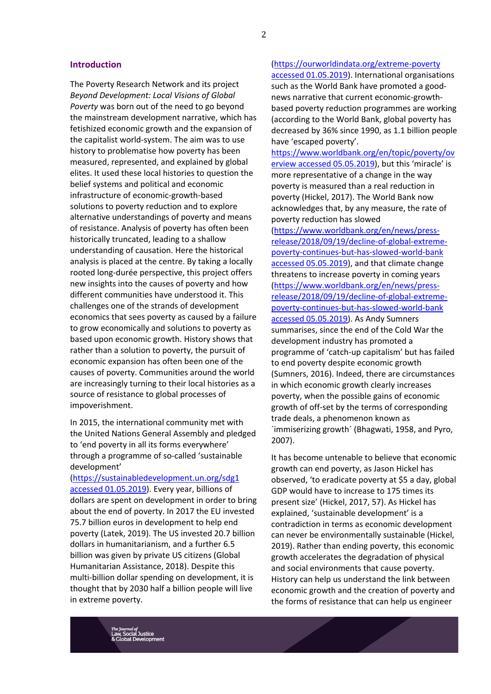#### **Introduction**

The Poverty Research Network and its project *Beyond Development: Local Visions of Global Poverty* was born out of the need to go beyond the mainstream development narrative, which has fetishized economic growth and the expansion of the capitalist world-system. The aim was to use history to problematise how poverty has been measured, represented, and explained by global elites. It used these local histories to question the belief systems and political and economic infrastructure of economic-growth-based solutions to poverty reduction and to explore alternative understandings of poverty and means of resistance. Analysis of poverty has often been historically truncated, leading to a shallow understanding of causation. Here the historical analysis is placed at the centre. By taking a locally rooted long-durée perspective, this project offers new insights into the causes of poverty and how different communities have understood it. This challenges one of the strands of development economics that sees poverty as caused by a failure to grow economically and solutions to poverty as based upon economic growth. History shows that rather than a solution to poverty, the pursuit of economic expansion has often been one of the causes of poverty. Communities around the world are increasingly turning to their local histories as a source of resistance to global processes of impoverishment.

In 2015, the international community met with the United Nations General Assembly and pledged to 'end poverty in all its forms everywhere' through a programme of so-called 'sustainable development'

(https://sustainabledevelopment.un.org/sdg1 accessed 01.05.2019). Every year, billions of dollars are spent on development in order to bring about the end of poverty. In 2017 the EU invested 75.7 billion euros in development to help end poverty (Latek, 2019). The US invested 20.7 billion dollars in humanitarianism, and a further 6.5 billion was given by private US citizens (Global Humanitarian Assistance, 2018). Despite this multi-billion dollar spending on development, it is thought that by 2030 half a billion people will live in extreme poverty.

(https://ourworldindata.org/extreme-poverty accessed 01.05.2019). International organisations such as the World Bank have promoted a goodnews narrative that current economic-growthbased poverty reduction programmes are working (according to the World Bank, global poverty has decreased by 36% since 1990, as 1.1 billion people have 'escaped poverty'.

https://www.worldbank.org/en/topic/poverty/ov erview accessed 05.05.2019), but this 'miracle' is more representative of a change in the way poverty is measured than a real reduction in poverty (Hickel, 2017). The World Bank now acknowledges that, by any measure, the rate of poverty reduction has slowed (https://www.worldbank.org/en/news/pressrelease/2018/09/19/decline-of-global-extremepoverty-continues-but-has-slowed-world-bank accessed 05.05.2019), and that climate change threatens to increase poverty in coming years (https://www.worldbank.org/en/news/pressrelease/2018/09/19/decline-of-global-extremepoverty-continues-but-has-slowed-world-bank accessed 05.05.2019). As Andy Sumners summarises, since the end of the Cold War the development industry has promoted a programme of 'catch-up capitalism' but has failed to end poverty despite economic growth (Sumners, 2016). Indeed, there are circumstances in which economic growth clearly increases poverty, when the possible gains of economic growth of off-set by the terms of corresponding trade deals, a phenomenon known as ´immiserizing growth´ (Bhagwati, 1958, and Pyro, 2007).

It has become untenable to believe that economic growth can end poverty, as Jason Hickel has observed, 'to eradicate poverty at \$5 a day, global GDP would have to increase to 175 times its present size' (Hickel, 2017, 57). As Hickel has explained, 'sustainable development' is a contradiction in terms as economic development can never be environmentally sustainable (Hickel, 2019). Rather than ending poverty, this economic growth accelerates the degradation of physical and social environments that cause poverty. History can help us understand the link between economic growth and the creation of poverty and the forms of resistance that can help us engineer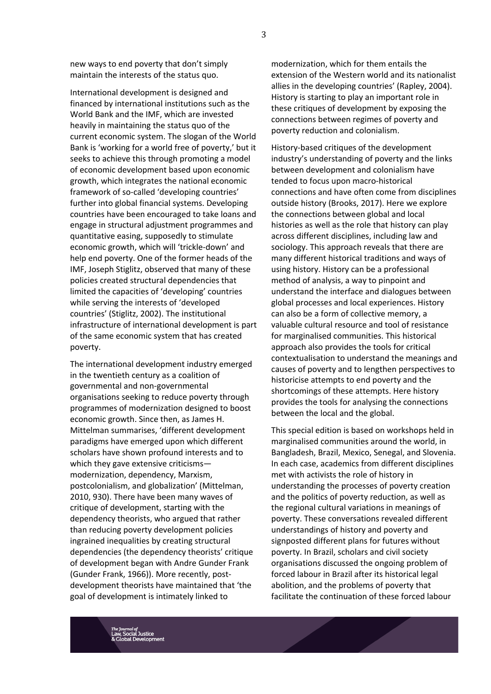new ways to end poverty that don't simply maintain the interests of the status quo.

International development is designed and financed by international institutions such as the World Bank and the IMF, which are invested heavily in maintaining the status quo of the current economic system. The slogan of the World Bank is 'working for a world free of poverty,' but it seeks to achieve this through promoting a model of economic development based upon economic growth, which integrates the national economic framework of so-called 'developing countries' further into global financial systems. Developing countries have been encouraged to take loans and engage in structural adjustment programmes and quantitative easing, supposedly to stimulate economic growth, which will 'trickle-down' and help end poverty. One of the former heads of the IMF, Joseph Stiglitz, observed that many of these policies created structural dependencies that limited the capacities of 'developing' countries while serving the interests of 'developed countries' (Stiglitz, 2002). The institutional infrastructure of international development is part of the same economic system that has created poverty.

The international development industry emerged in the twentieth century as a coalition of governmental and non-governmental organisations seeking to reduce poverty through programmes of modernization designed to boost economic growth. Since then, as James H. Mittelman summarises, 'different development paradigms have emerged upon which different scholars have shown profound interests and to which they gave extensive criticisms modernization, dependency, Marxism, postcolonialism, and globalization' (Mittelman, 2010, 930). There have been many waves of critique of development, starting with the dependency theorists, who argued that rather than reducing poverty development policies ingrained inequalities by creating structural dependencies (the dependency theorists' critique of development began with Andre Gunder Frank (Gunder Frank, 1966)). More recently, postdevelopment theorists have maintained that 'the goal of development is intimately linked to

modernization, which for them entails the extension of the Western world and its nationalist allies in the developing countries' (Rapley, 2004). History is starting to play an important role in these critiques of development by exposing the connections between regimes of poverty and poverty reduction and colonialism.

History-based critiques of the development industry's understanding of poverty and the links between development and colonialism have tended to focus upon macro-historical connections and have often come from disciplines outside history (Brooks, 2017). Here we explore the connections between global and local histories as well as the role that history can play across different disciplines, including law and sociology. This approach reveals that there are many different historical traditions and ways of using history. History can be a professional method of analysis, a way to pinpoint and understand the interface and dialogues between global processes and local experiences. History can also be a form of collective memory, a valuable cultural resource and tool of resistance for marginalised communities. This historical approach also provides the tools for critical contextualisation to understand the meanings and causes of poverty and to lengthen perspectives to historicise attempts to end poverty and the shortcomings of these attempts. Here history provides the tools for analysing the connections between the local and the global.

This special edition is based on workshops held in marginalised communities around the world, in Bangladesh, Brazil, Mexico, Senegal, and Slovenia. In each case, academics from different disciplines met with activists the role of history in understanding the processes of poverty creation and the politics of poverty reduction, as well as the regional cultural variations in meanings of poverty. These conversations revealed different understandings of history and poverty and signposted different plans for futures without poverty. In Brazil, scholars and civil society organisations discussed the ongoing problem of forced labour in Brazil after its historical legal abolition, and the problems of poverty that facilitate the continuation of these forced labour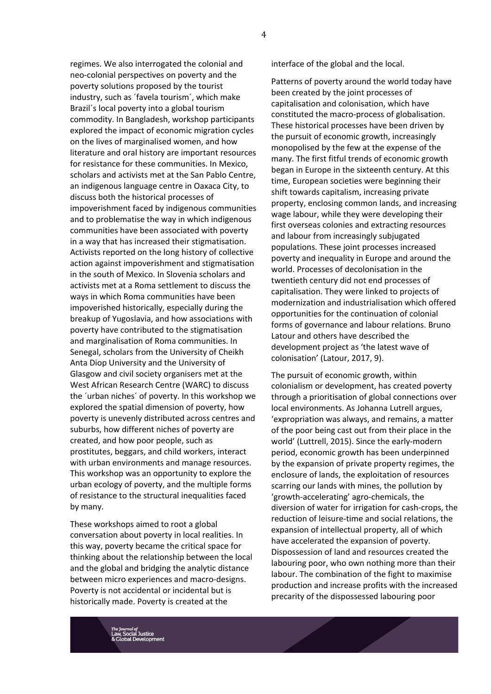regimes. We also interrogated the colonial and neo-colonial perspectives on poverty and the poverty solutions proposed by the tourist industry, such as ´favela tourism´, which make Brazil´s local poverty into a global tourism commodity. In Bangladesh, workshop participants explored the impact of economic migration cycles on the lives of marginalised women, and how literature and oral history are important resources for resistance for these communities. In Mexico, scholars and activists met at the San Pablo Centre, an indigenous language centre in Oaxaca City, to discuss both the historical processes of impoverishment faced by indigenous communities and to problematise the way in which indigenous communities have been associated with poverty in a way that has increased their stigmatisation. Activists reported on the long history of collective action against impoverishment and stigmatisation in the south of Mexico. In Slovenia scholars and activists met at a Roma settlement to discuss the ways in which Roma communities have been impoverished historically, especially during the breakup of Yugoslavia, and how associations with poverty have contributed to the stigmatisation and marginalisation of Roma communities. In Senegal, scholars from the University of Cheikh Anta Diop University and the University of Glasgow and civil society organisers met at the West African Research Centre (WARC) to discuss the ´urban niches´ of poverty. In this workshop we explored the spatial dimension of poverty, how poverty is unevenly distributed across centres and suburbs, how different niches of poverty are created, and how poor people, such as prostitutes, beggars, and child workers, interact with urban environments and manage resources. This workshop was an opportunity to explore the urban ecology of poverty, and the multiple forms of resistance to the structural inequalities faced by many.

These workshops aimed to root a global conversation about poverty in local realities. In this way, poverty became the critical space for thinking about the relationship between the local and the global and bridging the analytic distance between micro experiences and macro-designs. Poverty is not accidental or incidental but is historically made. Poverty is created at the

interface of the global and the local.

Patterns of poverty around the world today have been created by the joint processes of capitalisation and colonisation, which have constituted the macro-process of globalisation. These historical processes have been driven by the pursuit of economic growth, increasingly monopolised by the few at the expense of the many. The first fitful trends of economic growth began in Europe in the sixteenth century. At this time, European societies were beginning their shift towards capitalism, increasing private property, enclosing common lands, and increasing wage labour, while they were developing their first overseas colonies and extracting resources and labour from increasingly subjugated populations. These joint processes increased poverty and inequality in Europe and around the world. Processes of decolonisation in the twentieth century did not end processes of capitalisation. They were linked to projects of modernization and industrialisation which offered opportunities for the continuation of colonial forms of governance and labour relations. Bruno Latour and others have described the development project as 'the latest wave of colonisation' (Latour, 2017, 9).

The pursuit of economic growth, within colonialism or development, has created poverty through a prioritisation of global connections over local environments. As Johanna Lutrell argues, 'expropriation was always, and remains, a matter of the poor being cast out from their place in the world' (Luttrell, 2015). Since the early-modern period, economic growth has been underpinned by the expansion of private property regimes, the enclosure of lands, the exploitation of resources scarring our lands with mines, the pollution by 'growth-accelerating' agro-chemicals, the diversion of water for irrigation for cash-crops, the reduction of leisure-time and social relations, the expansion of intellectual property, all of which have accelerated the expansion of poverty. Dispossession of land and resources created the labouring poor, who own nothing more than their labour. The combination of the fight to maximise production and increase profits with the increased precarity of the dispossessed labouring poor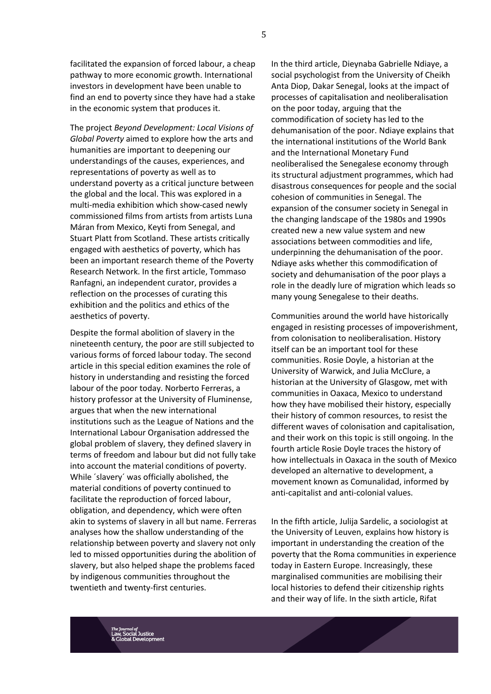facilitated the expansion of forced labour, a cheap pathway to more economic growth. International investors in development have been unable to find an end to poverty since they have had a stake in the economic system that produces it.

The project *Beyond Development: Local Visions of Global Poverty* aimed to explore how the arts and humanities are important to deepening our understandings of the causes, experiences, and representations of poverty as well as to understand poverty as a critical juncture between the global and the local. This was explored in a multi-media exhibition which show-cased newly commissioned films from artists from artists Luna Máran from Mexico, Keyti from Senegal, and Stuart Platt from Scotland. These artists critically engaged with aesthetics of poverty, which has been an important research theme of the Poverty Research Network. In the first article, Tommaso Ranfagni, an independent curator, provides a reflection on the processes of curating this exhibition and the politics and ethics of the aesthetics of poverty.

Despite the formal abolition of slavery in the nineteenth century, the poor are still subjected to various forms of forced labour today. The second article in this special edition examines the role of history in understanding and resisting the forced labour of the poor today. Norberto Ferreras, a history professor at the University of Fluminense, argues that when the new international institutions such as the League of Nations and the International Labour Organisation addressed the global problem of slavery, they defined slavery in terms of freedom and labour but did not fully take into account the material conditions of poverty. While ´slavery´ was officially abolished, the material conditions of poverty continued to facilitate the reproduction of forced labour, obligation, and dependency, which were often akin to systems of slavery in all but name. Ferreras analyses how the shallow understanding of the relationship between poverty and slavery not only led to missed opportunities during the abolition of slavery, but also helped shape the problems faced by indigenous communities throughout the twentieth and twenty-first centuries.

In the third article, Dieynaba Gabrielle Ndiaye, a social psychologist from the University of Cheikh Anta Diop, Dakar Senegal, looks at the impact of processes of capitalisation and neoliberalisation on the poor today, arguing that the commodification of society has led to the dehumanisation of the poor. Ndiaye explains that the international institutions of the World Bank and the International Monetary Fund neoliberalised the Senegalese economy through its structural adjustment programmes, which had disastrous consequences for people and the social cohesion of communities in Senegal. The expansion of the consumer society in Senegal in the changing landscape of the 1980s and 1990s created new a new value system and new associations between commodities and life, underpinning the dehumanisation of the poor. Ndiaye asks whether this commodification of society and dehumanisation of the poor plays a role in the deadly lure of migration which leads so many young Senegalese to their deaths.

Communities around the world have historically engaged in resisting processes of impoverishment, from colonisation to neoliberalisation. History itself can be an important tool for these communities. Rosie Doyle, a historian at the University of Warwick, and Julia McClure, a historian at the University of Glasgow, met with communities in Oaxaca, Mexico to understand how they have mobilised their history, especially their history of common resources, to resist the different waves of colonisation and capitalisation, and their work on this topic is still ongoing. In the fourth article Rosie Doyle traces the history of how intellectuals in Oaxaca in the south of Mexico developed an alternative to development, a movement known as Comunalidad, informed by anti-capitalist and anti-colonial values.

In the fifth article, Julija Sardelic, a sociologist at the University of Leuven, explains how history is important in understanding the creation of the poverty that the Roma communities in experience today in Eastern Europe. Increasingly, these marginalised communities are mobilising their local histories to defend their citizenship rights and their way of life. In the sixth article, Rifat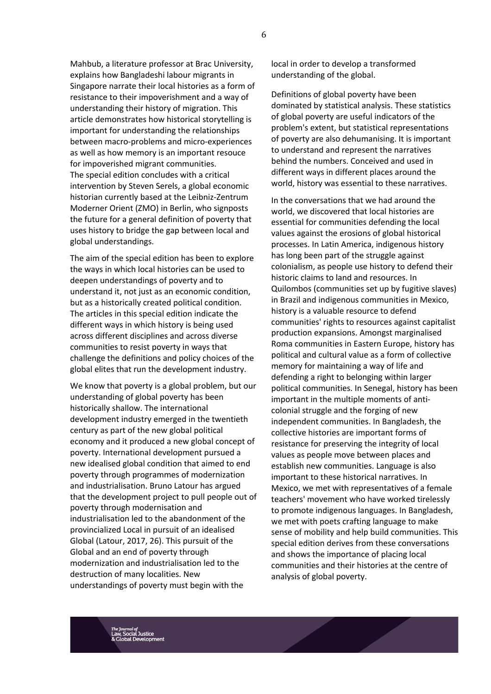Mahbub, a literature professor at Brac University, explains how Bangladeshi labour migrants in Singapore narrate their local histories as a form of resistance to their impoverishment and a way of understanding their history of migration. This article demonstrates how historical storytelling is important for understanding the relationships between macro-problems and micro-experiences as well as how memory is an important resouce for impoverished migrant communities. The special edition concludes with a critical intervention by Steven Serels, a global economic historian currently based at the Leibniz-Zentrum Moderner Orient (ZMO) in Berlin, who signposts the future for a general definition of poverty that uses history to bridge the gap between local and global understandings.

The aim of the special edition has been to explore the ways in which local histories can be used to deepen understandings of poverty and to understand it, not just as an economic condition, but as a historically created political condition. The articles in this special edition indicate the different ways in which history is being used across different disciplines and across diverse communities to resist poverty in ways that challenge the definitions and policy choices of the global elites that run the development industry.

We know that poverty is a global problem, but our understanding of global poverty has been historically shallow. The international development industry emerged in the twentieth century as part of the new global political economy and it produced a new global concept of poverty. International development pursued a new idealised global condition that aimed to end poverty through programmes of modernization and industrialisation. Bruno Latour has argued that the development project to pull people out of poverty through modernisation and industrialisation led to the abandonment of the provincialized Local in pursuit of an idealised Global (Latour, 2017, 26). This pursuit of the Global and an end of poverty through modernization and industrialisation led to the destruction of many localities. New understandings of poverty must begin with the

local in order to develop a transformed understanding of the global.

Definitions of global poverty have been dominated by statistical analysis. These statistics of global poverty are useful indicators of the problem's extent, but statistical representations of poverty are also dehumanising. It is important to understand and represent the narratives behind the numbers. Conceived and used in different ways in different places around the world, history was essential to these narratives.

In the conversations that we had around the world, we discovered that local histories are essential for communities defending the local values against the erosions of global historical processes. In Latin America, indigenous history has long been part of the struggle against colonialism, as people use history to defend their historic claims to land and resources. In Quilombos (communities set up by fugitive slaves) in Brazil and indigenous communities in Mexico, history is a valuable resource to defend communities' rights to resources against capitalist production expansions. Amongst marginalised Roma communities in Eastern Europe, history has political and cultural value as a form of collective memory for maintaining a way of life and defending a right to belonging within larger political communities. In Senegal, history has been important in the multiple moments of anticolonial struggle and the forging of new independent communities. In Bangladesh, the collective histories are important forms of resistance for preserving the integrity of local values as people move between places and establish new communities. Language is also important to these historical narratives. In Mexico, we met with representatives of a female teachers' movement who have worked tirelessly to promote indigenous languages. In Bangladesh, we met with poets crafting language to make sense of mobility and help build communities. This special edition derives from these conversations and shows the importance of placing local communities and their histories at the centre of analysis of global poverty.